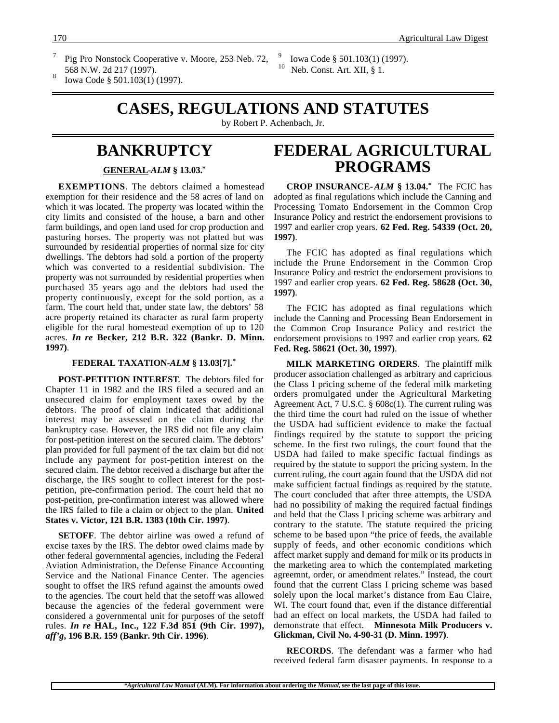- Pig Pro Nonstock Cooperative v. Moore, 253 Neb. 72,
- 568 N.W. 2d 217 (1997).<br>Iowa Code § 501.103(1) (1997).

<sup>9</sup> Iowa Code § 501.103(1) (1997).<br><sup>10</sup> Neb Const. Art. YU <sup>8</sup> 1 Neb. Const. Art. XII, § 1.

## **CASES, REGULATIONS AND STATUTES**

by Robert P. Achenbach, Jr.

### **BANKRUPTCY**

 **GENERAL -***ALM* **§ 13.03.\***

**EXEMPTIONS**. The debtors claimed a homestead exemption for their residence and the 58 acres of land on which it was located. The property was located within the city limits and consisted of the house, a barn and other farm buildings, and open land used for crop production and pasturing horses. The property was not platted but was surrounded by residential properties of normal size for city dwellings. The debtors had sold a portion of the property which was converted to a residential subdivision. The property was not surrounded by residential properties when purchased 35 years ago and the debtors had used the property continuously, except for the sold portion, as a farm. The court held that, under state law, the debtors' 58 acre property retained its character as rural farm property eligible for the rural homestead exemption of up to 120 acres. *In re* **Becker, 212 B.R. 322 (Bankr. D. Minn. 1997)**.

#### **FEDERAL TAXATION -***ALM* **§ 13.03[7].\***

**POST-PETITION INTEREST**. The debtors filed for Chapter 11 in 1982 and the IRS filed a secured and an unsecured claim for employment taxes owed by the debtors. The proof of claim indicated that additional interest may be assessed on the claim during the bankruptcy case. However, the IRS did not file any claim for post-petition interest on the secured claim. The debtors' plan provided for full payment of the tax claim but did not include any payment for post-petition interest on the secured claim. The debtor received a discharge but after the discharge, the IRS sought to collect interest for the postpetition, pre-confirmation period. The court held that no post-petition, pre-confirmation interest was allowed where the IRS failed to file a claim or object to the plan. **United States v. Victor, 121 B.R. 1383 (10th Cir. 1997)**.

**SETOFF**. The debtor airline was owed a refund of excise taxes by the IRS. The debtor owed claims made by other federal governmental agencies, including the Federal Aviation Administration, the Defense Finance Accounting Service and the National Finance Center. The agencies sought to offset the IRS refund against the amounts owed to the agencies. The court held that the setoff was allowed because the agencies of the federal government were considered a governmental unit for purposes of the setoff rules. *In re* **HAL, Inc., 122 F.3d 851 (9th Cir. 1997),** *aff'g***, 196 B.R. 159 (Bankr. 9th Cir. 1996)**.

## **FEDERAL AGRICULTURAL PROGRAMS**

**CROP INSURANCE-***ALM* **§ 13.04.\*** The FCIC has adopted as final regulations which include the Canning and Processing Tomato Endorsement in the Common Crop Insurance Policy and restrict the endorsement provisions to 1997 and earlier crop years. **62 Fed. Reg. 54339 (Oct. 20, 1997)**.

The FCIC has adopted as final regulations which include the Prune Endorsement in the Common Crop Insurance Policy and restrict the endorsement provisions to 1997 and earlier crop years. **62 Fed. Reg. 58628 (Oct. 30, 1997)**.

The FCIC has adopted as final regulations which include the Canning and Processing Bean Endorsement in the Common Crop Insurance Policy and restrict the endorsement provisions to 1997 and earlier crop years. **62 Fed. Reg. 58621 (Oct. 30, 1997)**.

**MILK MARKETING ORDERS**. The plaintiff milk producer association challenged as arbitrary and capricious the Class I pricing scheme of the federal milk marketing orders promulgated under the Agricultural Marketing Agreement Act, 7 U.S.C. § 608c(1). The current ruling was the third time the court had ruled on the issue of whether the USDA had sufficient evidence to make the factual findings required by the statute to support the pricing scheme. In the first two rulings, the court found that the USDA had failed to make specific factual findings as required by the statute to support the pricing system. In the current ruling, the court again found that the USDA did not make sufficient factual findings as required by the statute. The court concluded that after three attempts, the USDA had no possibility of making the required factual findings and held that the Class I pricing scheme was arbitrary and contrary to the statute. The statute required the pricing scheme to be based upon "the price of feeds, the available supply of feeds, and other economic conditions which affect market supply and demand for milk or its products in the marketing area to which the contemplated marketing agreemnt, order, or amendment relates." Instead, the court found that the current Class I pricing scheme was based solely upon the local market's distance from Eau Claire, WI. The court found that, even if the distance differential had an effect on local markets, the USDA had failed to demonstrate that effect. **Minnesota Milk Producers v. Glickman, Civil No. 4-90-31 (D. Minn. 1997)**.

**RECORDS**. The defendant was a farmer who had received federal farm disaster payments. In response to a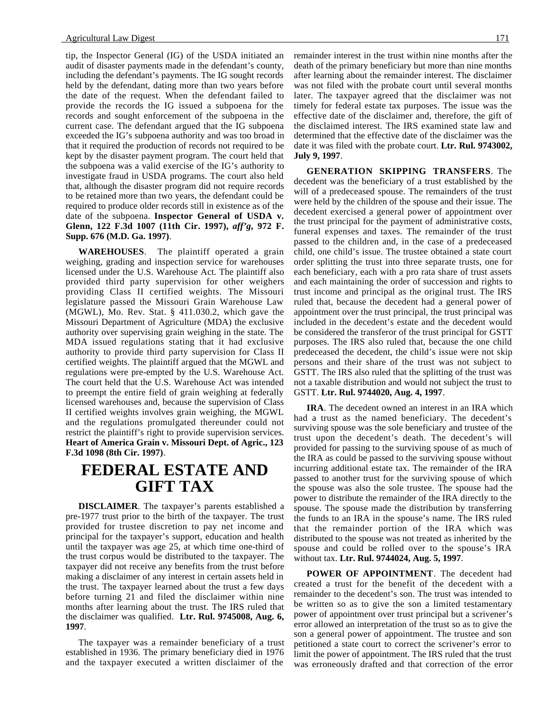tip, the Inspector General (IG) of the USDA initiated an audit of disaster payments made in the defendant's county, including the defendant's payments. The IG sought records held by the defendant, dating more than two years before the date of the request. When the defendant failed to provide the records the IG issued a subpoena for the records and sought enforcement of the subpoena in the current case. The defendant argued that the IG subpoena exceeded the IG's subpoena authority and was too broad in that it required the production of records not required to be kept by the disaster payment program. The court held that the subpoena was a valid exercise of the IG's authority to investigate fraud in USDA programs. The court also held that, although the disaster program did not require records to be retained more than two years, the defendant could be required to produce older records still in existence as of the date of the subpoena. **Inspector General of USDA v. Glenn, 122 F.3d 1007 (11th Cir. 1997),** *aff'g***, 972 F. Supp. 676 (M.D. Ga. 1997)**.

**WAREHOUSES**. The plaintiff operated a grain weighing, grading and inspection service for warehouses licensed under the U.S. Warehouse Act. The plaintiff also provided third party supervision for other weighers providing Class II certified weights. The Missouri legislature passed the Missouri Grain Warehouse Law (MGWL), Mo. Rev. Stat. § 411.030.2, which gave the Missouri Department of Agriculture (MDA) the exclusive authority over supervising grain weighing in the state. The MDA issued regulations stating that it had exclusive authority to provide third party supervision for Class II certified weights. The plaintiff argued that the MGWL and regulations were pre-empted by the U.S. Warehouse Act. The court held that the U.S. Warehouse Act was intended to preempt the entire field of grain weighing at federally licensed warehouses and, because the supervision of Class II certified weights involves grain weighing, the MGWL and the regulations promulgated thereunder could not restrict the plaintiff's right to provide supervision services. **Heart of America Grain v. Missouri Dept. of Agric., 123 F.3d 1098 (8th Cir. 1997)**.

## **FEDERAL ESTATE AND GIFT TAX**

**DISCLAIMER**. The taxpayer's parents established a pre-1977 trust prior to the birth of the taxpayer. The trust provided for trustee discretion to pay net income and principal for the taxpayer's support, education and health until the taxpayer was age 25, at which time one-third of the trust corpus would be distributed to the taxpayer. The taxpayer did not receive any benefits from the trust before making a disclaimer of any interest in certain assets held in the trust. The taxpayer learned about the trust a few days before turning 21 and filed the disclaimer within nine months after learning about the trust. The IRS ruled that the disclaimer was qualified. **Ltr. Rul. 9745008, Aug. 6, 1997**.

The taxpayer was a remainder beneficiary of a trust established in 1936. The primary beneficiary died in 1976 and the taxpayer executed a written disclaimer of the

remainder interest in the trust within nine months after the death of the primary beneficiary but more than nine months after learning about the remainder interest. The disclaimer was not filed with the probate court until several months later. The taxpayer agreed that the disclaimer was not timely for federal estate tax purposes. The issue was the effective date of the disclaimer and, therefore, the gift of the disclaimed interest. The IRS examined state law and determined that the effective date of the disclaimer was the date it was filed with the probate court. **Ltr. Rul. 9743002, July 9, 1997**.

**GENERATION SKIPPING TRANSFERS**. The decedent was the beneficiary of a trust established by the will of a predeceased spouse. The remainders of the trust were held by the children of the spouse and their issue. The decedent exercised a general power of appointment over the trust principal for the payment of administrative costs, funeral expenses and taxes. The remainder of the trust passed to the children and, in the case of a predeceased child, one child's issue. The trustee obtained a state court order splitting the trust into three separate trusts, one for each beneficiary, each with a pro rata share of trust assets and each maintaining the order of succession and rights to trust income and principal as the original trust. The IRS ruled that, because the decedent had a general power of appointment over the trust principal, the trust principal was included in the decedent's estate and the decedent would be considered the transferor of the trust principal for GSTT purposes. The IRS also ruled that, because the one child predeceased the decedent, the child's issue were not skip persons and their share of the trust was not subject to GSTT. The IRS also ruled that the splitting of the trust was not a taxable distribution and would not subject the trust to GSTT. **Ltr. Rul. 9744020, Aug. 4, 1997**.

**IRA**. The decedent owned an interest in an IRA which had a trust as the named beneficiary. The decedent's surviving spouse was the sole beneficiary and trustee of the trust upon the decedent's death. The decedent's will provided for passing to the surviving spouse of as much of the IRA as could be passed to the surviving spouse without incurring additional estate tax. The remainder of the IRA passed to another trust for the surviving spouse of which the spouse was also the sole trustee. The spouse had the power to distribute the remainder of the IRA directly to the spouse. The spouse made the distribution by transferring the funds to an IRA in the spouse's name. The IRS ruled that the remainder portion of the IRA which was distributed to the spouse was not treated as inherited by the spouse and could be rolled over to the spouse's IRA without tax. **Ltr. Rul. 9744024, Aug. 5, 1997**.

**POWER OF APPOINTMENT**. The decedent had created a trust for the benefit of the decedent with a remainder to the decedent's son. The trust was intended to be written so as to give the son a limited testamentary power of appointment over trust principal but a scrivener's error allowed an interpretation of the trust so as to give the son a general power of appointment. The trustee and son petitioned a state court to correct the scrivener's error to limit the power of appointment. The IRS ruled that the trust was erroneously drafted and that correction of the error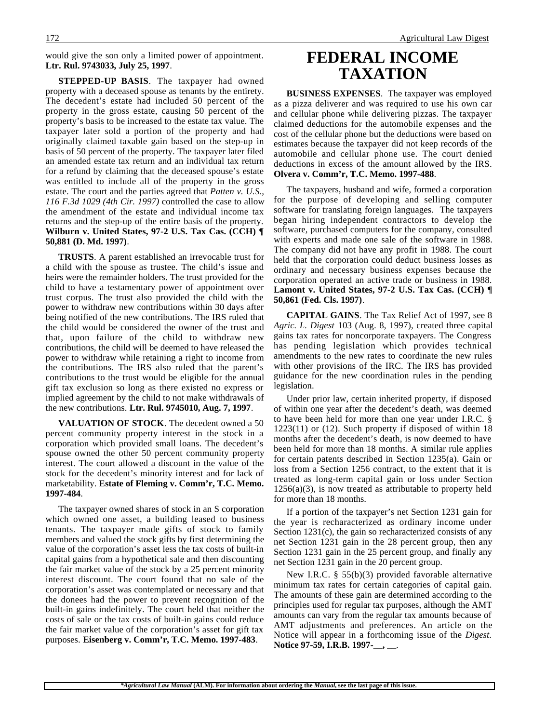would give the son only a limited power of appointment. **Ltr. Rul. 9743033, July 25, 1997**.

**STEPPED-UP BASIS**. The taxpayer had owned property with a deceased spouse as tenants by the entirety. The decedent's estate had included 50 percent of the property in the gross estate, causing 50 percent of the property's basis to be increased to the estate tax value. The taxpayer later sold a portion of the property and had originally claimed taxable gain based on the step-up in basis of 50 percent of the property. The taxpayer later filed an amended estate tax return and an individual tax return for a refund by claiming that the deceased spouse's estate was entitled to include all of the property in the gross estate. The court and the parties agreed that *Patten v. U.S., 116 F.3d 1029 (4th Cir. 1997)* controlled the case to allow the amendment of the estate and individual income tax returns and the step-up of the entire basis of the property. **Wilburn v. United States, 97-2 U.S. Tax Cas. (CCH) ¶ 50,881 (D. Md. 1997)**.

**TRUSTS**. A parent established an irrevocable trust for a child with the spouse as trustee. The child's issue and heirs were the remainder holders. The trust provided for the child to have a testamentary power of appointment over trust corpus. The trust also provided the child with the power to withdraw new contributions within 30 days after being notified of the new contributions. The IRS ruled that the child would be considered the owner of the trust and that, upon failure of the child to withdraw new contributions, the child will be deemed to have released the power to withdraw while retaining a right to income from the contributions. The IRS also ruled that the parent's contributions to the trust would be eligible for the annual gift tax exclusion so long as there existed no express or implied agreement by the child to not make withdrawals of the new contributions. **Ltr. Rul. 9745010, Aug. 7, 1997**.

**VALUATION OF STOCK**. The decedent owned a 50 percent community property interest in the stock in a corporation which provided small loans. The decedent's spouse owned the other 50 percent community property interest. The court allowed a discount in the value of the stock for the decedent's minority interest and for lack of marketability. **Estate of Fleming v. Comm'r, T.C. Memo. 1997-484**.

The taxpayer owned shares of stock in an S corporation which owned one asset, a building leased to business tenants. The taxpayer made gifts of stock to family members and valued the stock gifts by first determining the value of the corporation's asset less the tax costs of built-in capital gains from a hypothetical sale and then discounting the fair market value of the stock by a 25 percent minority interest discount. The court found that no sale of the corporation's asset was contemplated or necessary and that the donees had the power to prevent recognition of the built-in gains indefinitely. The court held that neither the costs of sale or the tax costs of built-in gains could reduce the fair market value of the corporation's asset for gift tax purposes. **Eisenberg v. Comm'r, T.C. Memo. 1997-483**.

## **FEDERAL INCOME TAXATION**

**BUSINESS EXPENSES**. The taxpayer was employed as a pizza deliverer and was required to use his own car and cellular phone while delivering pizzas. The taxpayer claimed deductions for the automobile expenses and the cost of the cellular phone but the deductions were based on estimates because the taxpayer did not keep records of the automobile and cellular phone use. The court denied deductions in excess of the amount allowed by the IRS. **Olvera v. Comm'r, T.C. Memo. 1997-488**.

The taxpayers, husband and wife, formed a corporation for the purpose of developing and selling computer software for translating foreign languages. The taxpayers began hiring independent contractors to develop the software, purchased computers for the company, consulted with experts and made one sale of the software in 1988. The company did not have any profit in 1988. The court held that the corporation could deduct business losses as ordinary and necessary business expenses because the corporation operated an active trade or business in 1988. **Lamont v. United States, 97-2 U.S. Tax Cas. (CCH) ¶ 50,861 (Fed. Cls. 1997)**.

**CAPITAL GAINS**. The Tax Relief Act of 1997, see 8 *Agric. L. Digest* 103 (Aug. 8, 1997), created three capital gains tax rates for noncorporate taxpayers. The Congress has pending legislation which provides technical amendments to the new rates to coordinate the new rules with other provisions of the IRC. The IRS has provided guidance for the new coordination rules in the pending legislation.

Under prior law, certain inherited property, if disposed of within one year after the decedent's death, was deemed to have been held for more than one year under I.R.C. §  $1223(11)$  or  $(12)$ . Such property if disposed of within 18 months after the decedent's death, is now deemed to have been held for more than 18 months. A similar rule applies for certain patents described in Section 1235(a). Gain or loss from a Section 1256 contract, to the extent that it is treated as long-term capital gain or loss under Section  $1256(a)(3)$ , is now treated as attributable to property held for more than 18 months.

If a portion of the taxpayer's net Section 1231 gain for the year is recharacterized as ordinary income under Section 1231(c), the gain so recharacterized consists of any net Section 1231 gain in the 28 percent group, then any Section 1231 gain in the 25 percent group, and finally any net Section 1231 gain in the 20 percent group.

New I.R.C. § 55(b)(3) provided favorable alternative minimum tax rates for certain categories of capital gain. The amounts of these gain are determined according to the principles used for regular tax purposes, although the AMT amounts can vary from the regular tax amounts because of AMT adjustments and preferences. An article on the Notice will appear in a forthcoming issue of the *Digest*. **Notice 97-59, I.R.B. 1997-\_\_, \_\_**.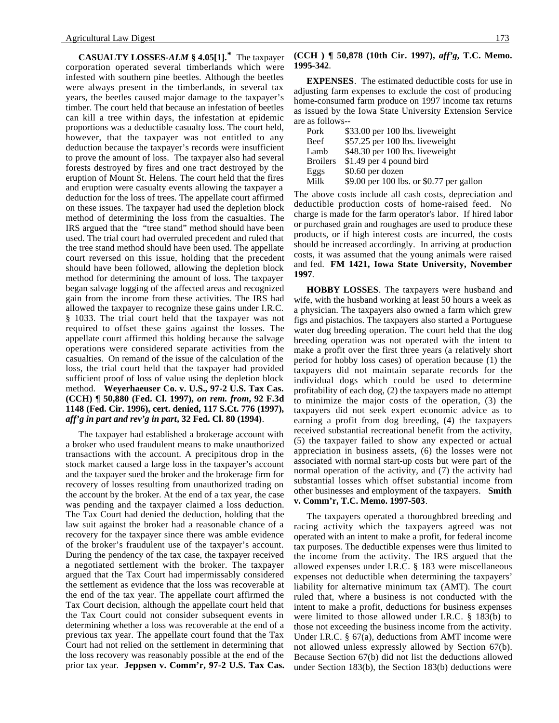**CASUALTY LOSSES-***ALM* **§ 4.05[1].\*** The taxpayer corporation operated several timberlands which were infested with southern pine beetles. Although the beetles were always present in the timberlands, in several tax years, the beetles caused major damage to the taxpayer's timber. The court held that because an infestation of beetles can kill a tree within days, the infestation at epidemic proportions was a deductible casualty loss. The court held, however, that the taxpayer was not entitled to any deduction because the taxpayer's records were insufficient to prove the amount of loss. The taxpayer also had several forests destroyed by fires and one tract destroyed by the eruption of Mount St. Helens. The court held that the fires and eruption were casualty events allowing the taxpayer a deduction for the loss of trees. The appellate court affirmed on these issues. The taxpayer had used the depletion block method of determining the loss from the casualties. The IRS argued that the "tree stand" method should have been used. The trial court had overruled precedent and ruled that the tree stand method should have been used. The appellate court reversed on this issue, holding that the precedent should have been followed, allowing the depletion block method for determining the amount of loss. The taxpayer began salvage logging of the affected areas and recognized gain from the income from these activities. The IRS had allowed the taxpayer to recognize these gains under I.R.C. § 1033. The trial court held that the taxpayer was not required to offset these gains against the losses. The appellate court affirmed this holding because the salvage operations were considered separate activities from the casualties. On remand of the issue of the calculation of the loss, the trial court held that the taxpayer had provided sufficient proof of loss of value using the depletion block method. **Weyerhaeuser Co. v. U.S., 97-2 U.S. Tax Cas. (CCH) ¶ 50,880 (Fed. Cl. 1997),** *on rem. from***, 92 F.3d 1148 (Fed. Cir. 1996), cert. denied, 117 S.Ct. 776 (1997),** *aff'g in part and rev'g in part***, 32 Fed. Cl. 80 (1994)**.

The taxpayer had established a brokerage account with a broker who used fraudulent means to make unauthorized transactions with the account. A precipitous drop in the stock market caused a large loss in the taxpayer's account and the taxpayer sued the broker and the brokerage firm for recovery of losses resulting from unauthorized trading on the account by the broker. At the end of a tax year, the case was pending and the taxpayer claimed a loss deduction. The Tax Court had denied the deduction, holding that the law suit against the broker had a reasonable chance of a recovery for the taxpayer since there was amble evidence of the broker's fraudulent use of the taxpayer's account. During the pendency of the tax case, the taxpayer received a negotiated settlement with the broker. The taxpayer argued that the Tax Court had impermissably considered the settlement as evidence that the loss was recoverable at the end of the tax year. The appellate court affirmed the Tax Court decision, although the appellate court held that the Tax Court could not consider subsequent events in determining whether a loss was recoverable at the end of a previous tax year. The appellate court found that the Tax Court had not relied on the settlement in determining that the loss recovery was reasonably possible at the end of the prior tax year. **Jeppsen v. Comm'r, 97-2 U.S. Tax Cas.**

#### **(CCH ) ¶ 50,878 (10th Cir. 1997),** *aff'g***, T.C. Memo. 1995-342**.

**EXPENSES**. The estimated deductible costs for use in adjusting farm expenses to exclude the cost of producing home-consumed farm produce on 1997 income tax returns as issued by the Iowa State University Extension Service are as follows--

| Pork            | \$33.00 per 100 lbs. liveweight          |
|-----------------|------------------------------------------|
| <b>Beef</b>     | \$57.25 per 100 lbs. liveweight          |
| Lamb            | \$48.30 per 100 lbs. liveweight          |
| <b>Broilers</b> | \$1.49 per 4 pound bird                  |
| Eggs            | \$0.60 per dozen                         |
| Milk            | \$9.00 per 100 lbs. or \$0.77 per gallon |

The above costs include all cash costs, depreciation and deductible production costs of home-raised feed. No charge is made for the farm operator's labor. If hired labor or purchased grain and roughages are used to produce these products, or if high interest costs are incurred, the costs should be increased accordingly. In arriving at production costs, it was assumed that the young animals were raised and fed. **FM 1421, Iowa State University, November 1997**.

**HOBBY LOSSES**. The taxpayers were husband and wife, with the husband working at least 50 hours a week as a physician. The taxpayers also owned a farm which grew figs and pistachios. The taxpayers also started a Portuguese water dog breeding operation. The court held that the dog breeding operation was not operated with the intent to make a profit over the first three years (a relatively short period for hobby loss cases) of operation because (1) the taxpayers did not maintain separate records for the individual dogs which could be used to determine profitability of each dog, (2) the taxpayers made no attempt to minimize the major costs of the operation, (3) the taxpayers did not seek expert economic advice as to earning a profit from dog breeding, (4) the taxpayers received substantial recreational benefit from the activity, (5) the taxpayer failed to show any expected or actual appreciation in business assets, (6) the losses were not associated with normal start-up costs but were part of the normal operation of the activity, and (7) the activity had substantial losses which offset substantial income from other businesses and employment of the taxpayers. **Smith v. Comm'r, T.C. Memo. 1997-503**.

The taxpayers operated a thoroughbred breeding and racing activity which the taxpayers agreed was not operated with an intent to make a profit, for federal income tax purposes. The deductible expenses were thus limited to the income from the activity. The IRS argued that the allowed expenses under I.R.C. § 183 were miscellaneous expenses not deductible when determining the taxpayers' liability for alternative minimum tax (AMT). The court ruled that, where a business is not conducted with the intent to make a profit, deductions for business expenses were limited to those allowed under I.R.C. § 183(b) to those not exceeding the business income from the activity. Under I.R.C. § 67(a), deductions from AMT income were not allowed unless expressly allowed by Section 67(b). Because Section 67(b) did not list the deductions allowed under Section 183(b), the Section 183(b) deductions were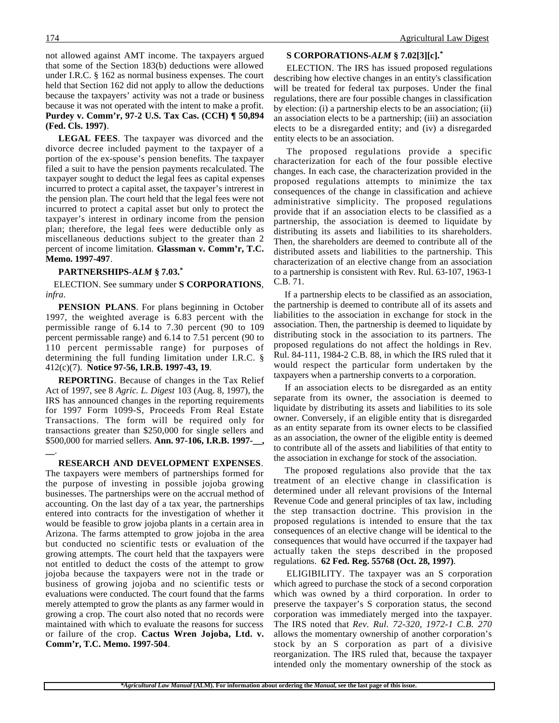not allowed against AMT income. The taxpayers argued that some of the Section 183(b) deductions were allowed under I.R.C. § 162 as normal business expenses. The court held that Section 162 did not apply to allow the deductions because the taxpayers' activity was not a trade or business because it was not operated with the intent to make a profit. **Purdey v. Comm'r, 97-2 U.S. Tax Cas. (CCH) ¶ 50,894 (Fed. Cls. 1997)**.

**LEGAL FEES**. The taxpayer was divorced and the divorce decree included payment to the taxpayer of a portion of the ex-spouse's pension benefits. The taxpayer filed a suit to have the pension payments recalculated. The taxpayer sought to deduct the legal fees as capital expenses incurred to protect a capital asset, the taxpayer's intrerest in the pension plan. The court held that the legal fees were not incurred to protect a capital asset but only to protect the taxpayer's interest in ordinary income from the pension plan; therefore, the legal fees were deductible only as miscellaneous deductions subject to the greater than 2 percent of income limitation. **Glassman v. Comm'r, T.C. Memo. 1997-497**.

#### **PARTNERSHIPS-***ALM* **§ 7.03.\***

 ELECTION. See summary under **S CORPORATIONS**, *infra*.

**PENSION PLANS**. For plans beginning in October 1997, the weighted average is 6.83 percent with the permissible range of 6.14 to 7.30 percent (90 to 109 percent permissable range) and 6.14 to 7.51 percent (90 to 110 percent permissable range) for purposes of determining the full funding limitation under I.R.C. § 412(c)(7). **Notice 97-56, I.R.B. 1997-43, 19**.

**REPORTING**. Because of changes in the Tax Relief Act of 1997, see 8 *Agric. L. Digest* 103 (Aug. 8, 1997), the IRS has announced changes in the reporting requirements for 1997 Form 1099-S, Proceeds From Real Estate Transactions. The form will be required only for transactions greater than \$250,000 for single sellers and \$500,000 for married sellers. **Ann. 97-106, I.R.B. 1997-\_\_, \_\_**.

**RESEARCH AND DEVELOPMENT EXPENSES**.

The taxpayers were members of partnerships formed for the purpose of investing in possible jojoba growing businesses. The partnerships were on the accrual method of accounting. On the last day of a tax year, the partnerships entered into contracts for the investigation of whether it would be feasible to grow jojoba plants in a certain area in Arizona. The farms attempted to grow jojoba in the area but conducted no scientific tests or evaluation of the growing attempts. The court held that the taxpayers were not entitled to deduct the costs of the attempt to grow jojoba because the taxpayers were not in the trade or business of growing jojoba and no scientific tests or evaluations were conducted. The court found that the farms merely attempted to grow the plants as any farmer would in growing a crop. The court also noted that no records were maintained with which to evaluate the reasons for success or failure of the crop. **Cactus Wren Jojoba, Ltd. v. Comm'r, T.C. Memo. 1997-504**.

#### **S CORPORATIONS-***ALM* **§ 7.02[3][c].\***

ELECTION. The IRS has issued proposed regulations describing how elective changes in an entity's classification will be treated for federal tax purposes. Under the final regulations, there are four possible changes in classification by election: (i) a partnership elects to be an association; (ii) an association elects to be a partnership; (iii) an association elects to be a disregarded entity; and (iv) a disregarded entity elects to be an association.

The proposed regulations provide a specific characterization for each of the four possible elective changes. In each case, the characterization provided in the proposed regulations attempts to minimize the tax consequences of the change in classification and achieve administrative simplicity. The proposed regulations provide that if an association elects to be classified as a partnership, the association is deemed to liquidate by distributing its assets and liabilities to its shareholders. Then, the shareholders are deemed to contribute all of the distributed assets and liabilities to the partnership. This characterization of an elective change from an association to a partnership is consistent with Rev. Rul. 63-107, 1963-1 C.B. 71.

 If a partnership elects to be classified as an association, the partnership is deemed to contribute all of its assets and liabilities to the association in exchange for stock in the association. Then, the partnership is deemed to liquidate by distributing stock in the association to its partners. The proposed regulations do not affect the holdings in Rev. Rul. 84-111, 1984-2 C.B. 88, in which the IRS ruled that it would respect the particular form undertaken by the taxpayers when a partnership converts to a corporation.

 If an association elects to be disregarded as an entity separate from its owner, the association is deemed to liquidate by distributing its assets and liabilities to its sole owner. Conversely, if an eligible entity that is disregarded as an entity separate from its owner elects to be classified as an association, the owner of the eligible entity is deemed to contribute all of the assets and liabilities of that entity to the association in exchange for stock of the association.

 The proposed regulations also provide that the tax treatment of an elective change in classification is determined under all relevant provisions of the Internal Revenue Code and general principles of tax law, including the step transaction doctrine. This provision in the proposed regulations is intended to ensure that the tax consequences of an elective change will be identical to the consequences that would have occurred if the taxpayer had actually taken the steps described in the proposed regulations. **62 Fed. Reg. 55768 (Oct. 28, 1997)**.

ELIGIBILITY. The taxpayer was an S corporation which agreed to purchase the stock of a second corporation which was owned by a third corporation. In order to preserve the taxpayer's S corporation status, the second corporation was immediately merged into the taxpayer. The IRS noted that *Rev. Rul. 72-320, 1972-1 C.B. 270* allows the momentary ownership of another corporation's stock by an S corporation as part of a divisive reorganization. The IRS ruled that, because the taxpayer intended only the momentary ownership of the stock as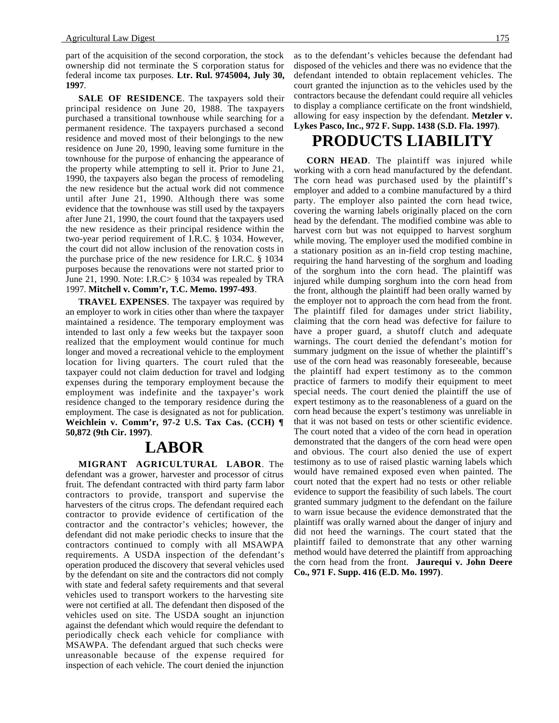part of the acquisition of the second corporation, the stock ownership did not terminate the S corporation status for federal income tax purposes. **Ltr. Rul. 9745004, July 30, 1997**.

**SALE OF RESIDENCE**. The taxpayers sold their principal residence on June 20, 1988. The taxpayers purchased a transitional townhouse while searching for a permanent residence. The taxpayers purchased a second residence and moved most of their belongings to the new residence on June 20, 1990, leaving some furniture in the townhouse for the purpose of enhancing the appearance of the property while attempting to sell it. Prior to June 21, 1990, the taxpayers also began the process of remodeling the new residence but the actual work did not commence until after June 21, 1990. Although there was some evidence that the townhouse was still used by the taxpayers after June 21, 1990, the court found that the taxpayers used the new residence as their principal residence within the two-year period requirement of I.R.C. § 1034. However, the court did not allow inclusion of the renovation costs in the purchase price of the new residence for I.R.C. § 1034 purposes because the renovations were not started prior to June 21, 1990. Note: I.R.C> § 1034 was repealed by TRA 1997. **Mitchell v. Comm'r, T.C. Memo. 1997-493**.

**TRAVEL EXPENSES**. The taxpayer was required by an employer to work in cities other than where the taxpayer maintained a residence. The temporary employment was intended to last only a few weeks but the taxpayer soon realized that the employment would continue for much longer and moved a recreational vehicle to the employment location for living quarters. The court ruled that the taxpayer could not claim deduction for travel and lodging expenses during the temporary employment because the employment was indefinite and the taxpayer's work residence changed to the temporary residence during the employment. The case is designated as not for publication. **Weichlein v. Comm'r, 97-2 U.S. Tax Cas. (CCH) ¶ 50,872 (9th Cir. 1997)**.

## **LABOR**

**MIGRANT AGRICULTURAL LABOR**. The defendant was a grower, harvester and processor of citrus fruit. The defendant contracted with third party farm labor contractors to provide, transport and supervise the harvesters of the citrus crops. The defendant required each contractor to provide evidence of certification of the contractor and the contractor's vehicles; however, the defendant did not make periodic checks to insure that the contractors continued to comply with all MSAWPA requirements. A USDA inspection of the defendant's operation produced the discovery that several vehicles used by the defendant on site and the contractors did not comply with state and federal safety requirements and that several vehicles used to transport workers to the harvesting site were not certified at all. The defendant then disposed of the vehicles used on site. The USDA sought an injunction against the defendant which would require the defendant to periodically check each vehicle for compliance with MSAWPA. The defendant argued that such checks were unreasonable because of the expense required for inspection of each vehicle. The court denied the injunction as to the defendant's vehicles because the defendant had disposed of the vehicles and there was no evidence that the defendant intended to obtain replacement vehicles. The court granted the injunction as to the vehicles used by the contractors because the defendant could require all vehicles to display a compliance certificate on the front windshield, allowing for easy inspection by the defendant. **Metzler v. Lykes Pasco, Inc., 972 F. Supp. 1438 (S.D. Fla. 1997)**.

## **PRODUCTS LIABILITY**

**CORN HEAD**. The plaintiff was injured while working with a corn head manufactured by the defendant. The corn head was purchased used by the plaintiff's employer and added to a combine manufactured by a third party. The employer also painted the corn head twice, covering the warning labels originally placed on the corn head by the defendant. The modified combine was able to harvest corn but was not equipped to harvest sorghum while moving. The employer used the modified combine in a stationary position as an in-field crop testing machine, requiring the hand harvesting of the sorghum and loading of the sorghum into the corn head. The plaintiff was injured while dumping sorghum into the corn head from the front, although the plaintiff had been orally warned by the employer not to approach the corn head from the front. The plaintiff filed for damages under strict liability, claiming that the corn head was defective for failure to have a proper guard, a shutoff clutch and adequate warnings. The court denied the defendant's motion for summary judgment on the issue of whether the plaintiff's use of the corn head was reasonably foreseeable, because the plaintiff had expert testimony as to the common practice of farmers to modify their equipment to meet special needs. The court denied the plaintiff the use of expert testimony as to the reasonableness of a guard on the corn head because the expert's testimony was unreliable in that it was not based on tests or other scientific evidence. The court noted that a video of the corn head in operation demonstrated that the dangers of the corn head were open and obvious. The court also denied the use of expert testimony as to use of raised plastic warning labels which would have remained exposed even when painted. The court noted that the expert had no tests or other reliable evidence to support the feasibility of such labels. The court granted summary judgment to the defendant on the failure to warn issue because the evidence demonstrated that the plaintiff was orally warned about the danger of injury and did not heed the warnings. The court stated that the plaintiff failed to demonstrate that any other warning method would have deterred the plaintiff from approaching the corn head from the front. **Jaurequi v. John Deere Co., 971 F. Supp. 416 (E.D. Mo. 1997)**.